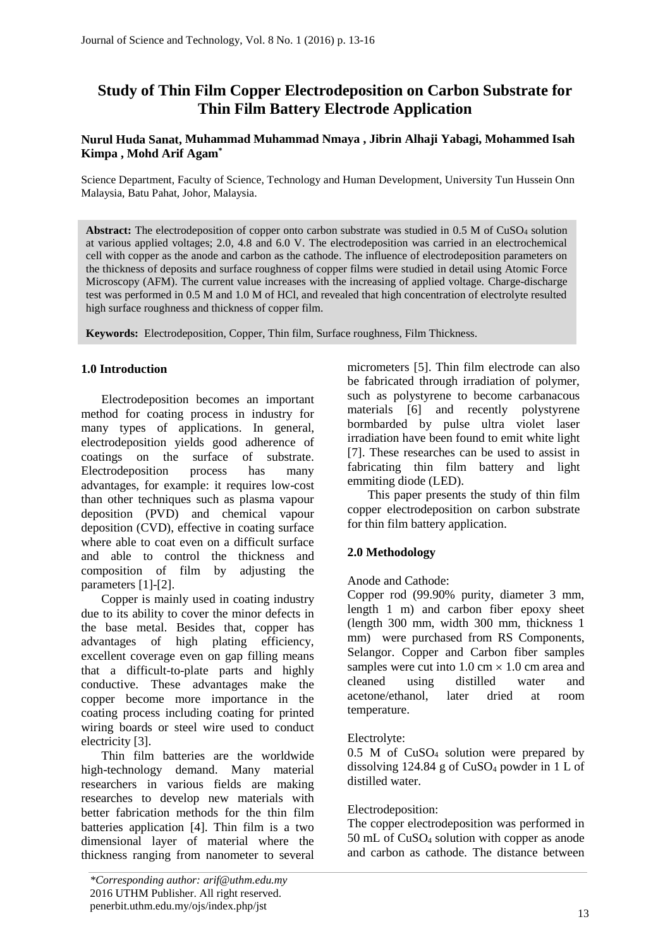# **Study of Thin Film Copper Electrodeposition on Carbon Substrate for Thin Film Battery Electrode Application**

# **Nurul Huda Sanat, Muhammad Muhammad Nmaya , Jibrin Alhaji Yabagi, Mohammed Isah Kimpa , Mohd Arif Agam\***

Science Department, Faculty of Science, Technology and Human Development, University Tun Hussein Onn Malaysia, Batu Pahat, Johor, Malaysia.

Abstract: The electrodeposition of copper onto carbon substrate was studied in 0.5 M of CuSO<sub>4</sub> solution at various applied voltages; 2.0, 4.8 and 6.0 V. The electrodeposition was carried in an electrochemical cell with copper as the anode and carbon as the cathode. The influence of electrodeposition parameters on the thickness of deposits and surface roughness of copper films were studied in detail using Atomic Force Microscopy (AFM). The current value increases with the increasing of applied voltage. Charge-discharge test was performed in 0.5 M and 1.0 M of HCl, and revealed that high concentration of electrolyte resulted high surface roughness and thickness of copper film.

**Keywords:** Electrodeposition, Copper, Thin film, Surface roughness, Film Thickness.

# **1.0 Introduction**

Electrodeposition becomes an important method for coating process in industry for many types of applications. In general, electrodeposition yields good adherence of coatings on the surface of substrate. Electrodeposition process has many advantages, for example: it requires low-cost than other techniques such as plasma vapour deposition (PVD) and chemical vapour deposition (CVD), effective in coating surface where able to coat even on a difficult surface and able to control the thickness and composition of film by adjusting the parameters [1]-[2].

Copper is mainly used in coating industry due to its ability to cover the minor defects in the base metal. Besides that, copper has advantages of high plating efficiency, excellent coverage even on gap filling means that a difficult-to-plate parts and highly conductive. These advantages make the copper become more importance in the coating process including coating for printed wiring boards or steel wire used to conduct electricity [3].

Thin film batteries are the worldwide high-technology demand. Many material researchers in various fields are making researches to develop new materials with better fabrication methods for the thin film batteries application [4]. Thin film is a two dimensional layer of material where the thickness ranging from nanometer to several micrometers [5]. Thin film electrode can also be fabricated through irradiation of polymer, such as polystyrene to become carbanacous materials [6] and recently polystyrene bormbarded by pulse ultra violet laser irradiation have been found to emit white light [7]. These researches can be used to assist in fabricating thin film battery and light emmiting diode (LED).

This paper presents the study of thin film copper electrodeposition on carbon substrate for thin film battery application.

# **2.0 Methodology**

## Anode and Cathode:

Copper rod (99.90% purity, diameter 3 mm, length 1 m) and carbon fiber epoxy sheet (length 300 mm, width 300 mm, thickness 1 mm) were purchased from RS Components, Selangor. Copper and Carbon fiber samples samples were cut into  $1.0 \text{ cm} \times 1.0 \text{ cm}$  area and cleaned using distilled water and acetone/ethanol, later dried at room temperature.

## Electrolyte:

0.5 M of CuSO<sup>4</sup> solution were prepared by dissolving 124.84 g of CuSO<sup>4</sup> powder in 1 L of distilled water.

## Electrodeposition:

The copper electrodeposition was performed in 50 mL of CuSO<sup>4</sup> solution with copper as anode and carbon as cathode. The distance between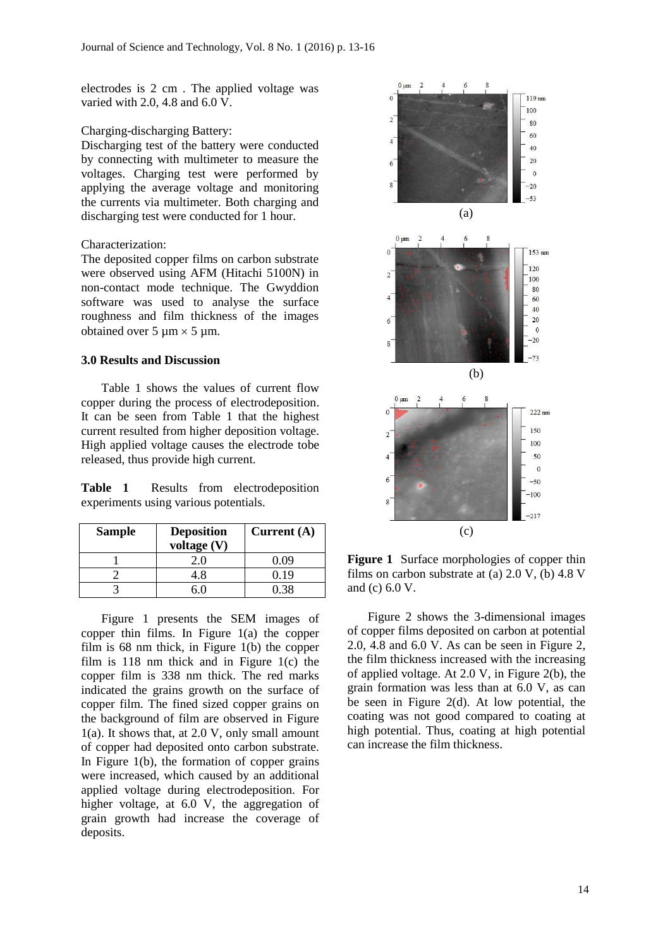electrodes is 2 cm . The applied voltage was varied with 2.0, 4.8 and 6.0 V.

#### Charging-discharging Battery:

Discharging test of the battery were conducted by connecting with multimeter to measure the voltages. Charging test were performed by applying the average voltage and monitoring the currents via multimeter. Both charging and discharging test were conducted for 1 hour.

## Characterization:

The deposited copper films on carbon substrate were observed using AFM (Hitachi 5100N) in non-contact mode technique. The Gwyddion software was used to analyse the surface roughness and film thickness of the images obtained over 5  $\mu$ m  $\times$  5  $\mu$ m.

#### **3.0 Results and Discussion**

Table 1 shows the values of current flow copper during the process of electrodeposition. It can be seen from Table 1 that the highest current resulted from higher deposition voltage. High applied voltage causes the electrode tobe released, thus provide high current.

**Table 1** Results from electrodeposition experiments using various potentials.

| <b>Sample</b> | <b>Deposition</b><br>voltage $(V)$ | Current $(A)$ |
|---------------|------------------------------------|---------------|
|               |                                    | 0.09          |
|               | 4.8                                | 0.19          |
|               |                                    | በ 38          |

Figure 1 presents the SEM images of copper thin films. In Figure 1(a) the copper film is 68 nm thick, in Figure 1(b) the copper film is 118 nm thick and in Figure 1(c) the copper film is 338 nm thick. The red marks indicated the grains growth on the surface of copper film. The fined sized copper grains on the background of film are observed in Figure 1(a). It shows that, at 2.0 V, only small amount of copper had deposited onto carbon substrate. In Figure 1(b), the formation of copper grains were increased, which caused by an additional applied voltage during electrodeposition. For higher voltage, at 6.0 V, the aggregation of grain growth had increase the coverage of deposits.



**Figure 1** Surface morphologies of copper thin films on carbon substrate at (a)  $2.0 \text{ V}$ , (b)  $4.8 \text{ V}$ and (c) 6.0 V.

Figure 2 shows the 3-dimensional images of copper films deposited on carbon at potential 2.0, 4.8 and 6.0 V. As can be seen in Figure 2, the film thickness increased with the increasing of applied voltage. At 2.0 V, in Figure 2(b), the grain formation was less than at 6.0 V, as can be seen in Figure 2(d). At low potential, the coating was not good compared to coating at high potential. Thus, coating at high potential can increase the film thickness.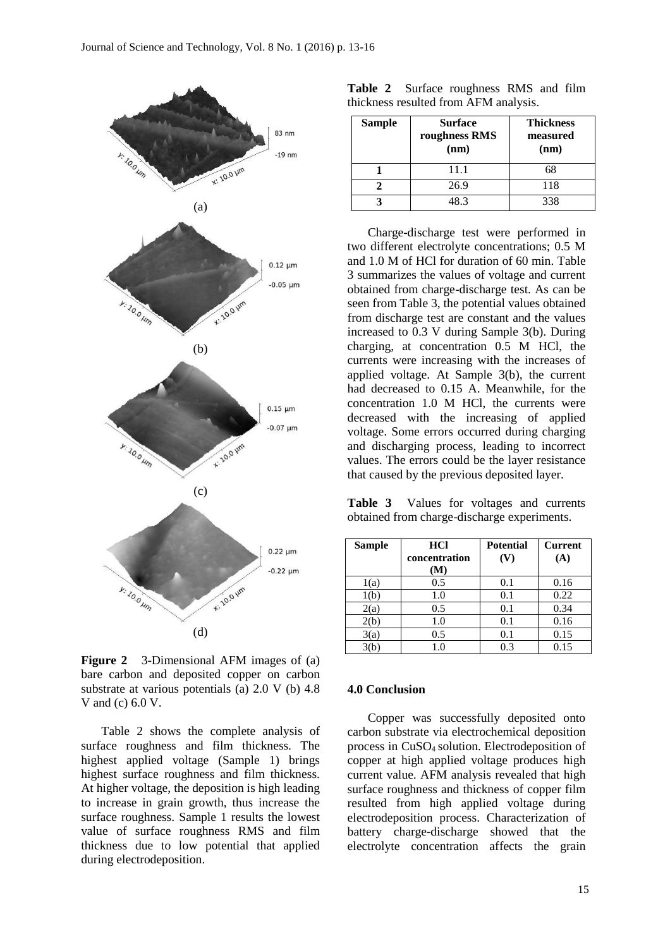

**Figure 2** 3-Dimensional AFM images of (a) bare carbon and deposited copper on carbon substrate at various potentials (a) 2.0 V (b) 4.8 V and (c) 6.0 V.

Table 2 shows the complete analysis of surface roughness and film thickness. The highest applied voltage (Sample 1) brings highest surface roughness and film thickness. At higher voltage, the deposition is high leading to increase in grain growth, thus increase the surface roughness. Sample 1 results the lowest value of surface roughness RMS and film thickness due to low potential that applied during electrodeposition.

|  | <b>Table 2</b> Surface roughness RMS and film |  |  |
|--|-----------------------------------------------|--|--|
|  | thickness resulted from AFM analysis.         |  |  |

| <b>Sample</b> | <b>Surface</b><br>roughness RMS<br>(nm) | <b>Thickness</b><br>measured<br>(nm) |
|---------------|-----------------------------------------|--------------------------------------|
|               | 11.1                                    | 68                                   |
|               | 26.9                                    | 118                                  |
|               | 83                                      | 338                                  |

Charge-discharge test were performed in two different electrolyte concentrations; 0.5 M and 1.0 M of HCl for duration of 60 min. Table 3 summarizes the values of voltage and current obtained from charge-discharge test. As can be seen from Table 3, the potential values obtained from discharge test are constant and the values increased to 0.3 V during Sample 3(b). During charging, at concentration 0.5 M HCl, the currents were increasing with the increases of applied voltage. At Sample 3(b), the current had decreased to 0.15 A. Meanwhile, for the concentration 1.0 M HCl, the currents were decreased with the increasing of applied voltage. Some errors occurred during charging and discharging process, leading to incorrect values. The errors could be the layer resistance that caused by the previous deposited layer.

**Table 3** Values for voltages and currents obtained from charge-discharge experiments.

| <b>Sample</b> | <b>HCl</b>    | <b>Potential</b> | <b>Current</b> |
|---------------|---------------|------------------|----------------|
|               | concentration | (V)              | (A)            |
|               | (M)           |                  |                |
| 1(a)          | 0.5           | 0.1              | 0.16           |
| 1(b)          | 1.0           | 0.1              | 0.22           |
| 2(a)          | 0.5           | 0.1              | 0.34           |
| 2(b)          | 1.0           | 0.1              | 0.16           |
| 3(a)          | 0.5           | 0.1              | 0.15           |
|               | 1.0           | 0.3              | 0.15           |

#### **4.0 Conclusion**

Copper was successfully deposited onto carbon substrate via electrochemical deposition process in CuSO4 solution. Electrodeposition of copper at high applied voltage produces high current value. AFM analysis revealed that high surface roughness and thickness of copper film resulted from high applied voltage during electrodeposition process. Characterization of battery charge-discharge showed that the electrolyte concentration affects the grain